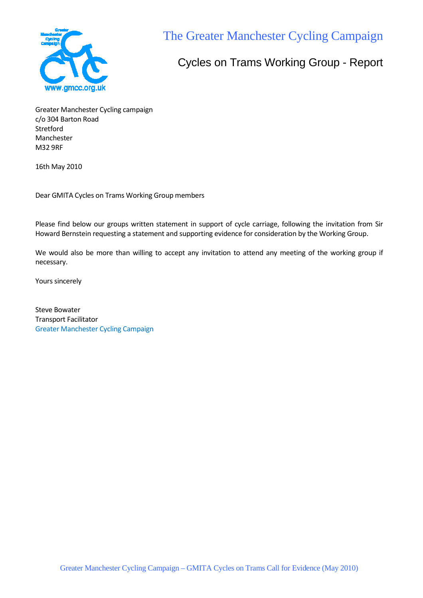

The Greater Manchester Cycling Campaign

# Cycles on Trams Working Group - Report

Greater Manchester Cycling campaign c/o 304 Barton Road Stretford Manchester M32 9RF

16th May 2010

Dear GMITA Cycles on Trams Working Group members

Please find below our groups written statement in support of cycle carriage, following the invitation from Sir Howard Bernstein requesting a statement and supporting evidence for consideration by the Working Group.

We would also be more than willing to accept any invitation to attend any meeting of the working group if necessary.

Yours sincerely

Steve Bowater Transport Facilitator Greater Manchester Cycling Campaign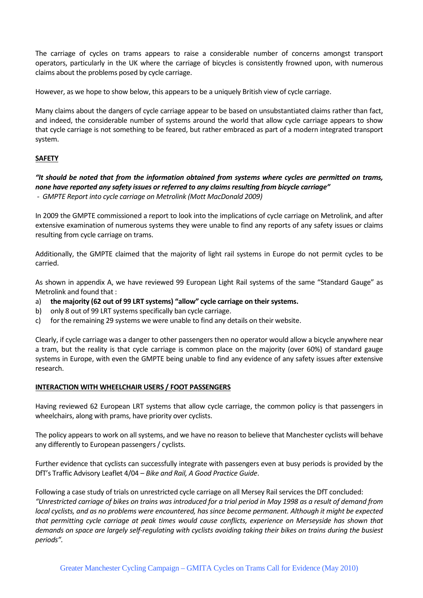The carriage of cycles on trams appears to raise a considerable number of concerns amongst transport operators, particularly in the UK where the carriage of bicycles is consistently frowned upon, with numerous claims about the problems posed by cycle carriage.

However, as we hope to show below, this appears to be a uniquely British view of cycle carriage.

Many claims about the dangers of cycle carriage appear to be based on unsubstantiated claims rather than fact, and indeed, the considerable number of systems around the world that allow cycle carriage appears to show that cycle carriage is not something to be feared, but rather embraced as part of a modern integrated transport system.

## **SAFETY**

## *"It should be noted that from the information obtained from systems where cycles are permitted on trams, none have reported any safety issues or referred to any claims resulting from bicycle carriage" - GMPTE Report into cycle carriage on Metrolink (Mott MacDonald 2009)*

In 2009 the GMPTE commissioned a report to look into the implications of cycle carriage on Metrolink, and after extensive examination of numerous systems they were unable to find any reports of any safety issues or claims resulting from cycle carriage on trams.

Additionally, the GMPTE claimed that the majority of light rail systems in Europe do not permit cycles to be carried.

As shown in appendix A, we have reviewed 99 European Light Rail systems of the same "Standard Gauge" as Metrolink and found that :

- a) **the majority (62 out of 99 LRT systems) "allow" cycle carriage on their systems.**
- b) only 8 out of 99 LRT systems specifically ban cycle carriage.
- c) for the remaining 29 systems we were unable to find any details on their website.

Clearly, if cycle carriage was a danger to other passengers then no operator would allow a bicycle anywhere near a tram, but the reality is that cycle carriage is common place on the majority (over 60%) of standard gauge systems in Europe, with even the GMPTE being unable to find any evidence of any safety issues after extensive research.

#### **INTERACTION WITH WHEELCHAIR USERS / FOOT PASSENGERS**

Having reviewed 62 European LRT systems that allow cycle carriage, the common policy is that passengers in wheelchairs, along with prams, have priority over cyclists.

The policy appears to work on all systems, and we have no reason to believe that Manchester cyclists will behave any differently to European passengers / cyclists.

Further evidence that cyclists can successfully integrate with passengers even at busy periods is provided by the DfT's Traffic Advisory Leaflet 4/04 – *Bike and Rail, A Good Practice Guide*.

Following a case study of trials on unrestricted cycle carriage on all Mersey Rail services the DfT concluded: *"Unrestricted carriage of bikes on trains was introduced for a trial period in May 1998 as a result of demand from local cyclists, and as no problems were encountered, has since become permanent. Although it might be expected that permitting cycle carriage at peak times would cause conflicts, experience on Merseyside has shown that demands on space are largely self-regulating with cyclists avoiding taking their bikes on trains during the busiest periods".*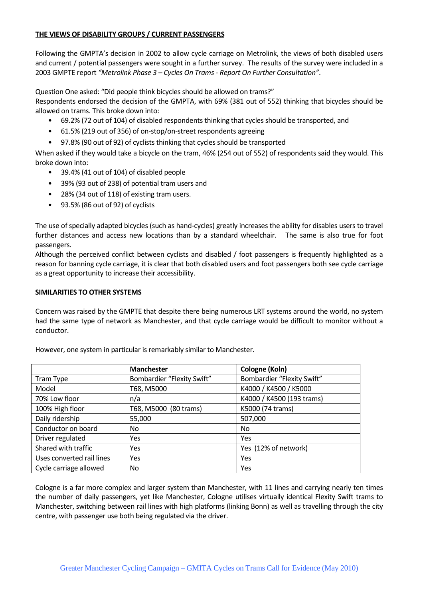## **THE VIEWS OF DISABILITY GROUPS / CURRENT PASSENGERS**

Following the GMPTA's decision in 2002 to allow cycle carriage on Metrolink, the views of both disabled users and current / potential passengers were sought in a further survey. The results of the survey were included in a 2003 GMPTE report *"Metrolink Phase 3 – Cycles On Trams - Report On Further Consultation"*.

Question One asked: "Did people think bicycles should be allowed on trams?"

Respondents endorsed the decision of the GMPTA, with 69% (381 out of 552) thinking that bicycles should be allowed on trams. This broke down into:

- 69.2% (72 out of 104) of disabled respondents thinking that cycles should be transported, and
- 61.5% (219 out of 356) of on-stop/on-street respondents agreeing
- 97.8% (90 out of 92) of cyclists thinking that cycles should be transported

When asked if they would take a bicycle on the tram, 46% (254 out of 552) of respondents said they would. This broke down into:

- 39.4% (41 out of 104) of disabled people
- 39% (93 out of 238) of potential tram users and
- 28% (34 out of 118) of existing tram users.
- 93.5% (86 out of 92) of cyclists

The use of specially adapted bicycles (such as hand-cycles) greatly increases the ability for disables users to travel further distances and access new locations than by a standard wheelchair. The same is also true for foot passengers.

Although the perceived conflict between cyclists and disabled / foot passengers is frequently highlighted as a reason for banning cycle carriage, it is clear that both disabled users and foot passengers both see cycle carriage as a great opportunity to increase their accessibility.

## **SIMILARITIES TO OTHER SYSTEMS**

Concern was raised by the GMPTE that despite there being numerous LRT systems around the world, no system had the same type of network as Manchester, and that cycle carriage would be difficult to monitor without a conductor.

|                           | <b>Manchester</b>          | Cologne (Koln)             |  |
|---------------------------|----------------------------|----------------------------|--|
| Tram Type                 | Bombardier "Flexity Swift" | Bombardier "Flexity Swift" |  |
| Model                     | T68, M5000                 | K4000 / K4500 / K5000      |  |
| 70% Low floor             | n/a                        | K4000 / K4500 (193 trams)  |  |
| 100% High floor           | T68, M5000 (80 trams)      | K5000 (74 trams)           |  |
| Daily ridership           | 55,000                     | 507,000                    |  |
| Conductor on board        | No                         | N <sub>o</sub>             |  |
| Driver regulated          | <b>Yes</b>                 | Yes                        |  |
| Shared with traffic       | <b>Yes</b>                 | Yes (12% of network)       |  |
| Uses converted rail lines | Yes                        | Yes                        |  |
| Cycle carriage allowed    | No                         | Yes                        |  |

However, one system in particular is remarkably similar to Manchester.

Cologne is a far more complex and larger system than Manchester, with 11 lines and carrying nearly ten times the number of daily passengers, yet like Manchester, Cologne utilises virtually identical Flexity Swift trams to Manchester, switching between rail lines with high platforms (linking Bonn) as well as travelling through the city centre, with passenger use both being regulated via the driver.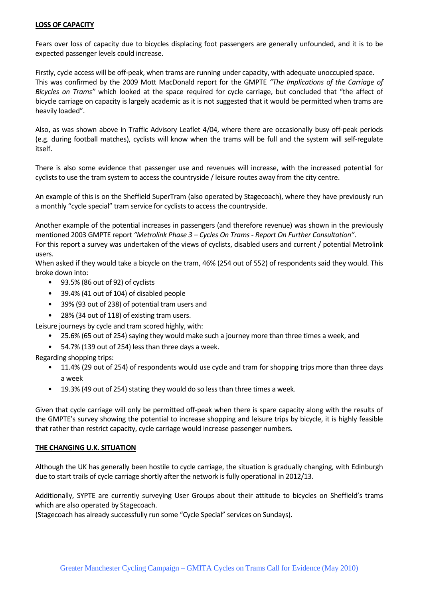### **LOSS OF CAPACITY**

Fears over loss of capacity due to bicycles displacing foot passengers are generally unfounded, and it is to be expected passenger levels could increase.

Firstly, cycle access will be off-peak, when trams are running under capacity, with adequate unoccupied space. This was confirmed by the 2009 Mott MacDonald report for the GMPTE *"The Implications of the Carriage of Bicycles on Trams"* which looked at the space required for cycle carriage, but concluded that "the affect of bicycle carriage on capacity is largely academic as it is not suggested that it would be permitted when trams are heavily loaded".

Also, as was shown above in Traffic Advisory Leaflet 4/04, where there are occasionally busy off-peak periods (e.g. during football matches), cyclists will know when the trams will be full and the system will self-regulate itself.

There is also some evidence that passenger use and revenues will increase, with the increased potential for cyclists to use the tram system to access the countryside / leisure routes away from the city centre.

An example of this is on the Sheffield SuperTram (also operated by Stagecoach), where they have previously run a monthly "cycle special" tram service for cyclists to access the countryside.

Another example of the potential increases in passengers (and therefore revenue) was shown in the previously mentioned 2003 GMPTE report *"Metrolink Phase 3 – Cycles On Trams - Report On Further Consultation"*. For this report a survey was undertaken of the views of cyclists, disabled users and current / potential Metrolink users.

When asked if they would take a bicycle on the tram, 46% (254 out of 552) of respondents said they would. This broke down into:

- 93.5% (86 out of 92) of cyclists
- 39.4% (41 out of 104) of disabled people
- 39% (93 out of 238) of potential tram users and
- 28% (34 out of 118) of existing tram users.

Leisure journeys by cycle and tram scored highly, with:

- 25.6% (65 out of 254) saying they would make such a journey more than three times a week, and
- 54.7% (139 out of 254) less than three days a week.

Regarding shopping trips:

- 11.4% (29 out of 254) of respondents would use cycle and tram for shopping trips more than three days a week
- 19.3% (49 out of 254) stating they would do so less than three times a week.

Given that cycle carriage will only be permitted off-peak when there is spare capacity along with the results of the GMPTE's survey showing the potential to increase shopping and leisure trips by bicycle, it is highly feasible that rather than restrict capacity, cycle carriage would increase passenger numbers.

#### **THE CHANGING U.K. SITUATION**

Although the UK has generally been hostile to cycle carriage, the situation is gradually changing, with Edinburgh due to start trails of cycle carriage shortly after the network is fully operational in 2012/13.

Additionally, SYPTE are currently surveying User Groups about their attitude to bicycles on Sheffield's trams which are also operated by Stagecoach.

(Stagecoach has already successfully run some "Cycle Special" services on Sundays).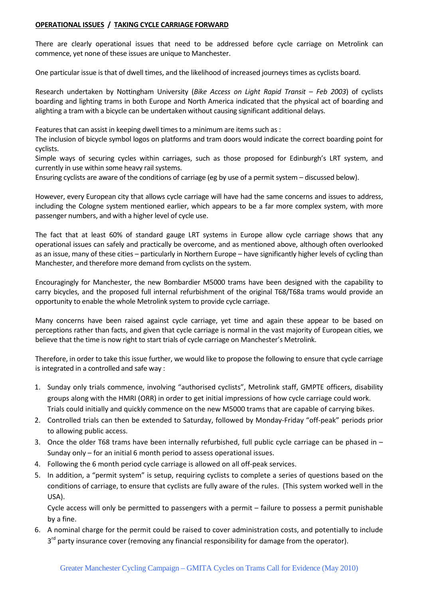### **OPERATIONAL ISSUES / TAKING CYCLE CARRIAGE FORWARD**

There are clearly operational issues that need to be addressed before cycle carriage on Metrolink can commence, yet none of these issues are unique to Manchester.

One particular issue is that of dwell times, and the likelihood of increased journeys times as cyclists board.

Research undertaken by Nottingham University (*Bike Access on Light Rapid Transit – Feb 2003*) of cyclists boarding and lighting trams in both Europe and North America indicated that the physical act of boarding and alighting a tram with a bicycle can be undertaken without causing significant additional delays.

Features that can assist in keeping dwell times to a minimum are items such as :

The inclusion of bicycle symbol logos on platforms and tram doors would indicate the correct boarding point for cyclists.

Simple ways of securing cycles within carriages, such as those proposed for Edinburgh's LRT system, and currently in use within some heavy rail systems.

Ensuring cyclists are aware of the conditions of carriage (eg by use of a permit system – discussed below).

However, every European city that allows cycle carriage will have had the same concerns and issues to address, including the Cologne system mentioned earlier, which appears to be a far more complex system, with more passenger numbers, and with a higher level of cycle use.

The fact that at least 60% of standard gauge LRT systems in Europe allow cycle carriage shows that any operational issues can safely and practically be overcome, and as mentioned above, although often overlooked as an issue, many of these cities – particularly in Northern Europe – have significantly higher levels of cycling than Manchester, and therefore more demand from cyclists on the system.

Encouragingly for Manchester, the new Bombardier M5000 trams have been designed with the capability to carry bicycles, and the proposed full internal refurbishment of the original T68/T68a trams would provide an opportunity to enable the whole Metrolink system to provide cycle carriage.

Many concerns have been raised against cycle carriage, yet time and again these appear to be based on perceptions rather than facts, and given that cycle carriage is normal in the vast majority of European cities, we believe that the time is now right to start trials of cycle carriage on Manchester's Metrolink.

Therefore, in order to take this issue further, we would like to propose the following to ensure that cycle carriage is integrated in a controlled and safe way :

- 1. Sunday only trials commence, involving "authorised cyclists", Metrolink staff, GMPTE officers, disability groups along with the HMRI (ORR) in order to get initial impressions of how cycle carriage could work. Trials could initially and quickly commence on the new M5000 trams that are capable of carrying bikes.
- 2. Controlled trials can then be extended to Saturday, followed by Monday-Friday "off-peak" periods prior to allowing public access.
- 3. Once the older T68 trams have been internally refurbished, full public cycle carriage can be phased in  $-$ Sunday only – for an initial 6 month period to assess operational issues.
- 4. Following the 6 month period cycle carriage is allowed on all off-peak services.
- 5. In addition, a "permit system" is setup, requiring cyclists to complete a series of questions based on the conditions of carriage, to ensure that cyclists are fully aware of the rules. (This system worked well in the USA).

Cycle access will only be permitted to passengers with a permit – failure to possess a permit punishable by a fine.

6. A nominal charge for the permit could be raised to cover administration costs, and potentially to include 3<sup>rd</sup> party insurance cover (removing any financial responsibility for damage from the operator).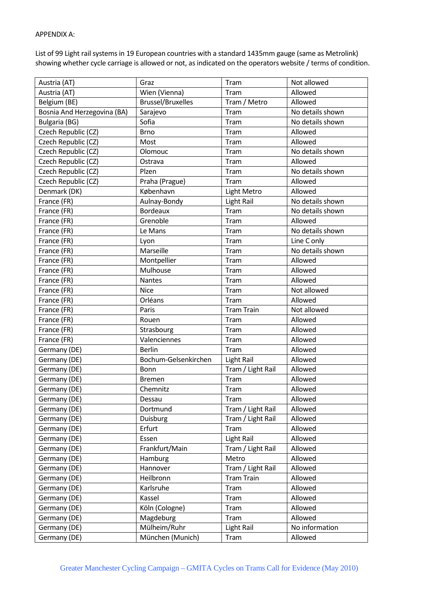#### APPENDIX A:

List of 99 Light rail systems in 19 European countries with a standard 1435mm gauge (same as Metrolink) showing whether cycle carriage is allowed or not, as indicated on the operators website / terms of condition.

| Austria (AT)                | Graz                     | Tram              | Not allowed      |
|-----------------------------|--------------------------|-------------------|------------------|
| Austria (AT)                | Wien (Vienna)            | Tram              | Allowed          |
| Belgium (BE)                | <b>Brussel/Bruxelles</b> | Tram / Metro      | Allowed          |
| Bosnia And Herzegovina (BA) | Sarajevo                 | Tram              | No details shown |
| Bulgaria (BG)               | Sofia                    | Tram              | No details shown |
| Czech Republic (CZ)         | <b>Brno</b>              | Tram              | Allowed          |
| Czech Republic (CZ)         | Most                     | Tram              | Allowed          |
| Czech Republic (CZ)         | Olomouc                  | Tram              | No details shown |
| Czech Republic (CZ)         | Ostrava                  | Tram              | Allowed          |
| Czech Republic (CZ)         | Plzen                    | Tram              | No details shown |
| Czech Republic (CZ)         | Praha (Prague)           | Tram              | Allowed          |
| Denmark (DK)                | København                | Light Metro       | Allowed          |
| France (FR)                 | Aulnay-Bondy             | <b>Light Rail</b> | No details shown |
| France (FR)                 | <b>Bordeaux</b>          | Tram              | No details shown |
| France (FR)                 | Grenoble                 | Tram              | Allowed          |
| France (FR)                 | Le Mans                  | Tram              | No details shown |
| France (FR)                 | Lyon                     | Tram              | Line C only      |
| France (FR)                 | Marseille                | Tram              | No details shown |
| France (FR)                 | Montpellier              | Tram              | Allowed          |
| France (FR)                 | Mulhouse                 | Tram              | Allowed          |
| France (FR)                 | <b>Nantes</b>            | Tram              | Allowed          |
| France (FR)                 | <b>Nice</b>              | Tram              | Not allowed      |
| France (FR)                 | Orléans                  | Tram              | Allowed          |
| France (FR)                 | Paris                    | <b>Tram Train</b> | Not allowed      |
| France (FR)                 | Rouen                    | Tram              | Allowed          |
| France (FR)                 | Strasbourg               | Tram              | Allowed          |
| France (FR)                 | Valenciennes             | Tram              | Allowed          |
| Germany (DE)                | <b>Berlin</b>            | Tram              | Allowed          |
| Germany (DE)                | Bochum-Gelsenkirchen     | Light Rail        | Allowed          |
| Germany (DE)                | Bonn                     | Tram / Light Rail | Allowed          |
| Germany (DE)                | <b>Bremen</b>            | Tram              | Allowed          |
| Germany (DE)                | Chemnitz                 | Tram              | Allowed          |
| Germany (DE)                | Dessau                   | Tram              | Allowed          |
| Germany (DE)                | Dortmund                 | Tram / Light Rail | Allowed          |
| Germany (DE)                | <b>Duisburg</b>          | Tram / Light Rail | Allowed          |
| Germany (DE)                | Erfurt                   | Tram              | Allowed          |
| Germany (DE)                | Essen                    | Light Rail        | Allowed          |
| Germany (DE)                | Frankfurt/Main           | Tram / Light Rail | Allowed          |
| Germany (DE)                | Hamburg                  | Metro             | Allowed          |
| Germany (DE)                | Hannover                 | Tram / Light Rail | Allowed          |
| Germany (DE)                | Heilbronn                | <b>Tram Train</b> | Allowed          |
| Germany (DE)                | Karlsruhe                | Tram              | Allowed          |
| Germany (DE)                | Kassel                   | Tram              | Allowed          |
| Germany (DE)                | Köln (Cologne)           | Tram              | Allowed          |
| Germany (DE)                | Magdeburg                | Tram              | Allowed          |
| Germany (DE)                | Mülheim/Ruhr             | <b>Light Rail</b> | No information   |
| Germany (DE)                | München (Munich)         | Tram              | Allowed          |